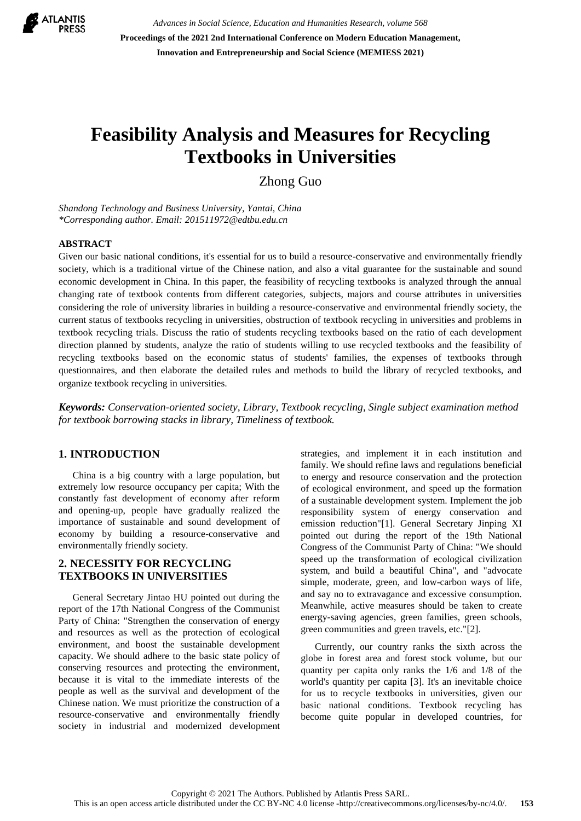

*Advances in Social Science, Education and Humanities Research, volume 568* **Proceedings of the 2021 2nd International Conference on Modern Education Management, Innovation and Entrepreneurship and Social Science (MEMIESS 2021)**

# **Feasibility Analysis and Measures for Recycling Textbooks in Universities**

Zhong Guo

*Shandong Technology and Business University, Yantai, China \*Corresponding author. Email: 201511972@edtbu.edu.cn*

#### **ABSTRACT**

Given our basic national conditions, it's essential for us to build a resource-conservative and environmentally friendly society, which is a traditional virtue of the Chinese nation, and also a vital guarantee for the sustainable and sound economic development in China. In this paper, the feasibility of recycling textbooks is analyzed through the annual changing rate of textbook contents from different categories, subjects, majors and course attributes in universities considering the role of university libraries in building a resource-conservative and environmental friendly society, the current status of textbooks recycling in universities, obstruction of textbook recycling in universities and problems in textbook recycling trials. Discuss the ratio of students recycling textbooks based on the ratio of each development direction planned by students, analyze the ratio of students willing to use recycled textbooks and the feasibility of recycling textbooks based on the economic status of students' families, the expenses of textbooks through questionnaires, and then elaborate the detailed rules and methods to build the library of recycled textbooks, and organize textbook recycling in universities.

*Keywords: Conservation-oriented society, Library, Textbook recycling, Single subject examination method for textbook borrowing stacks in library, Timeliness of textbook.*

#### **1. INTRODUCTION**

China is a big country with a large population, but extremely low resource occupancy per capita; With the constantly fast development of economy after reform and opening-up, people have gradually realized the importance of sustainable and sound development of economy by building a resource-conservative and environmentally friendly society.

#### **2. NECESSITY FOR RECYCLING TEXTBOOKS IN UNIVERSITIES**

General Secretary Jintao HU pointed out during the report of the 17th National Congress of the Communist Party of China: "Strengthen the conservation of energy and resources as well as the protection of ecological environment, and boost the sustainable development capacity. We should adhere to the basic state policy of conserving resources and protecting the environment, because it is vital to the immediate interests of the people as well as the survival and development of the Chinese nation. We must prioritize the construction of a resource-conservative and environmentally friendly society in industrial and modernized development strategies, and implement it in each institution and family. We should refine laws and regulations beneficial to energy and resource conservation and the protection of ecological environment, and speed up the formation of a sustainable development system. Implement the job responsibility system of energy conservation and emission reduction"[1]. General Secretary Jinping XI pointed out during the report of the 19th National Congress of the Communist Party of China: "We should speed up the transformation of ecological civilization system, and build a beautiful China", and "advocate simple, moderate, green, and low-carbon ways of life, and say no to extravagance and excessive consumption. Meanwhile, active measures should be taken to create energy-saving agencies, green families, green schools, green communities and green travels, etc."[2].

Currently, our country ranks the sixth across the globe in forest area and forest stock volume, but our quantity per capita only ranks the 1/6 and 1/8 of the world's quantity per capita [3]. It's an inevitable choice for us to recycle textbooks in universities, given our basic national conditions. Textbook recycling has become quite popular in developed countries, for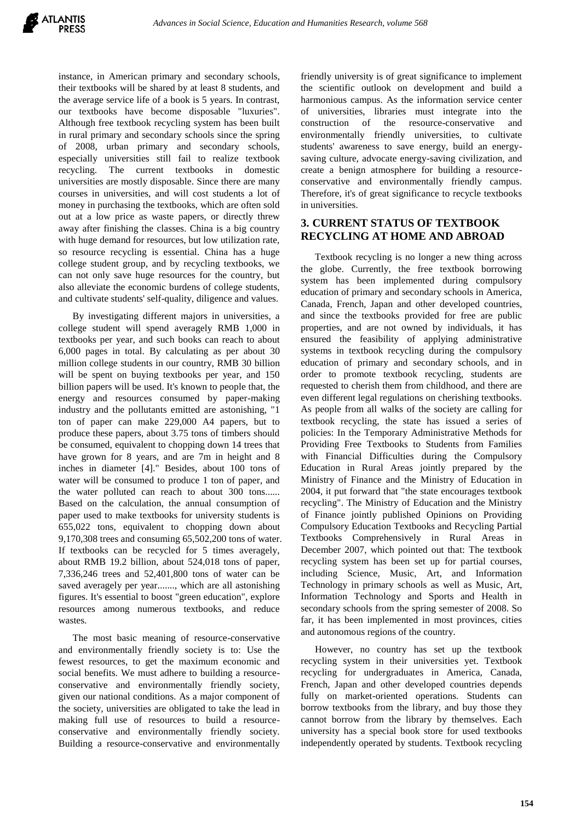instance, in American primary and secondary schools, their textbooks will be shared by at least 8 students, and the average service life of a book is 5 years. In contrast, our textbooks have become disposable "luxuries". Although free textbook recycling system has been built in rural primary and secondary schools since the spring of 2008, urban primary and secondary schools, especially universities still fail to realize textbook recycling. The current textbooks in domestic universities are mostly disposable. Since there are many courses in universities, and will cost students a lot of money in purchasing the textbooks, which are often sold out at a low price as waste papers, or directly threw away after finishing the classes. China is a big country with huge demand for resources, but low utilization rate, so resource recycling is essential. China has a huge college student group, and by recycling textbooks, we can not only save huge resources for the country, but also alleviate the economic burdens of college students, and cultivate students' self-quality, diligence and values.

By investigating different majors in universities, a college student will spend averagely RMB 1,000 in textbooks per year, and such books can reach to about 6,000 pages in total. By calculating as per about 30 million college students in our country, RMB 30 billion will be spent on buying textbooks per year, and 150 billion papers will be used. It's known to people that, the energy and resources consumed by paper-making industry and the pollutants emitted are astonishing, "1 ton of paper can make 229,000 A4 papers, but to produce these papers, about 3.75 tons of timbers should be consumed, equivalent to chopping down 14 trees that have grown for 8 years, and are 7m in height and 8 inches in diameter [4]." Besides, about 100 tons of water will be consumed to produce 1 ton of paper, and the water polluted can reach to about 300 tons...... Based on the calculation, the annual consumption of paper used to make textbooks for university students is 655,022 tons, equivalent to chopping down about 9,170,308 trees and consuming 65,502,200 tons of water. If textbooks can be recycled for 5 times averagely, about RMB 19.2 billion, about 524,018 tons of paper, 7,336,246 trees and 52,401,800 tons of water can be saved averagely per year......., which are all astonishing figures. It's essential to boost "green education", explore resources among numerous textbooks, and reduce wastes.

The most basic meaning of resource-conservative and environmentally friendly society is to: Use the fewest resources, to get the maximum economic and social benefits. We must adhere to building a resourceconservative and environmentally friendly society, given our national conditions. As a major component of the society, universities are obligated to take the lead in making full use of resources to build a resourceconservative and environmentally friendly society. Building a resource-conservative and environmentally friendly university is of great significance to implement the scientific outlook on development and build a harmonious campus. As the information service center of universities, libraries must integrate into the construction of the resource-conservative and environmentally friendly universities, to cultivate students' awareness to save energy, build an energysaving culture, advocate energy-saving civilization, and create a benign atmosphere for building a resourceconservative and environmentally friendly campus. Therefore, it's of great significance to recycle textbooks in universities.

## **3. CURRENT STATUS OF TEXTBOOK RECYCLING AT HOME AND ABROAD**

Textbook recycling is no longer a new thing across the globe. Currently, the free textbook borrowing system has been implemented during compulsory education of primary and secondary schools in America, Canada, French, Japan and other developed countries, and since the textbooks provided for free are public properties, and are not owned by individuals, it has ensured the feasibility of applying administrative systems in textbook recycling during the compulsory education of primary and secondary schools, and in order to promote textbook recycling, students are requested to cherish them from childhood, and there are even different legal regulations on cherishing textbooks. As people from all walks of the society are calling for textbook recycling, the state has issued a series of policies: In the Temporary Administrative Methods for Providing Free Textbooks to Students from Families with Financial Difficulties during the Compulsory Education in Rural Areas jointly prepared by the Ministry of Finance and the Ministry of Education in 2004, it put forward that "the state encourages textbook recycling". The Ministry of Education and the Ministry of Finance jointly published Opinions on Providing Compulsory Education Textbooks and Recycling Partial Textbooks Comprehensively in Rural Areas in December 2007, which pointed out that: The textbook recycling system has been set up for partial courses, including Science, Music, Art, and Information Technology in primary schools as well as Music, Art, Information Technology and Sports and Health in secondary schools from the spring semester of 2008. So far, it has been implemented in most provinces, cities and autonomous regions of the country.

However, no country has set up the textbook recycling system in their universities yet. Textbook recycling for undergraduates in America, Canada, French, Japan and other developed countries depends fully on market-oriented operations. Students can borrow textbooks from the library, and buy those they cannot borrow from the library by themselves. Each university has a special book store for used textbooks independently operated by students. Textbook recycling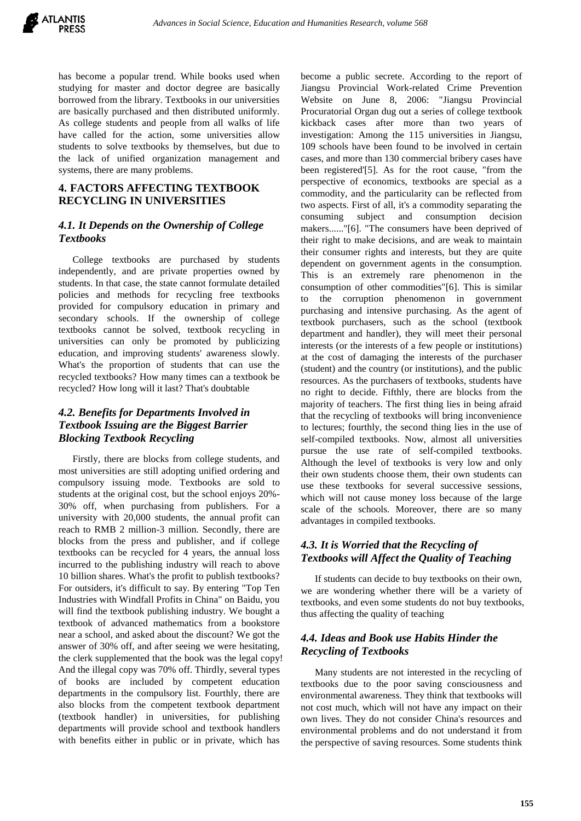

has become a popular trend. While books used when studying for master and doctor degree are basically borrowed from the library. Textbooks in our universities are basically purchased and then distributed uniformly. As college students and people from all walks of life have called for the action, some universities allow students to solve textbooks by themselves, but due to the lack of unified organization management and systems, there are many problems.

#### **4. FACTORS AFFECTING TEXTBOOK RECYCLING IN UNIVERSITIES**

#### *4.1. It Depends on the Ownership of College Textbooks*

College textbooks are purchased by students independently, and are private properties owned by students. In that case, the state cannot formulate detailed policies and methods for recycling free textbooks provided for compulsory education in primary and secondary schools. If the ownership of college textbooks cannot be solved, textbook recycling in universities can only be promoted by publicizing education, and improving students' awareness slowly. What's the proportion of students that can use the recycled textbooks? How many times can a textbook be recycled? How long will it last? That's doubtable

### *4.2. Benefits for Departments Involved in Textbook Issuing are the Biggest Barrier Blocking Textbook Recycling*

Firstly, there are blocks from college students, and most universities are still adopting unified ordering and compulsory issuing mode. Textbooks are sold to students at the original cost, but the school enjoys 20%- 30% off, when purchasing from publishers. For a university with 20,000 students, the annual profit can reach to RMB 2 million-3 million. Secondly, there are blocks from the press and publisher, and if college textbooks can be recycled for 4 years, the annual loss incurred to the publishing industry will reach to above 10 billion shares. What's the profit to publish textbooks? For outsiders, it's difficult to say. By entering "Top Ten Industries with Windfall Profits in China" on Baidu, you will find the textbook publishing industry. We bought a textbook of advanced mathematics from a bookstore near a school, and asked about the discount? We got the answer of 30% off, and after seeing we were hesitating, the clerk supplemented that the book was the legal copy! And the illegal copy was 70% off. Thirdly, several types of books are included by competent education departments in the compulsory list. Fourthly, there are also blocks from the competent textbook department (textbook handler) in universities, for publishing departments will provide school and textbook handlers with benefits either in public or in private, which has

become a public secrete. According to the report of Jiangsu Provincial Work-related Crime Prevention Website on June 8, 2006: "Jiangsu Provincial Procuratorial Organ dug out a series of college textbook kickback cases after more than two years of investigation: Among the 115 universities in Jiangsu, 109 schools have been found to be involved in certain cases, and more than 130 commercial bribery cases have been registered'[5]. As for the root cause, "from the perspective of economics, textbooks are special as a commodity, and the particularity can be reflected from two aspects. First of all, it's a commodity separating the consuming subject and consumption decision makers......"[6]. "The consumers have been deprived of their right to make decisions, and are weak to maintain their consumer rights and interests, but they are quite dependent on government agents in the consumption. This is an extremely rare phenomenon in the consumption of other commodities"[6]. This is similar to the corruption phenomenon in government purchasing and intensive purchasing. As the agent of textbook purchasers, such as the school (textbook department and handler), they will meet their personal interests (or the interests of a few people or institutions) at the cost of damaging the interests of the purchaser (student) and the country (or institutions), and the public resources. As the purchasers of textbooks, students have no right to decide. Fifthly, there are blocks from the majority of teachers. The first thing lies in being afraid that the recycling of textbooks will bring inconvenience to lectures; fourthly, the second thing lies in the use of self-compiled textbooks. Now, almost all universities pursue the use rate of self-compiled textbooks. Although the level of textbooks is very low and only their own students choose them, their own students can use these textbooks for several successive sessions, which will not cause money loss because of the large scale of the schools. Moreover, there are so many advantages in compiled textbooks.

#### *4.3. It is Worried that the Recycling of Textbooks will Affect the Quality of Teaching*

If students can decide to buy textbooks on their own, we are wondering whether there will be a variety of textbooks, and even some students do not buy textbooks, thus affecting the quality of teaching

## *4.4. Ideas and Book use Habits Hinder the Recycling of Textbooks*

Many students are not interested in the recycling of textbooks due to the poor saving consciousness and environmental awareness. They think that textbooks will not cost much, which will not have any impact on their own lives. They do not consider China's resources and environmental problems and do not understand it from the perspective of saving resources. Some students think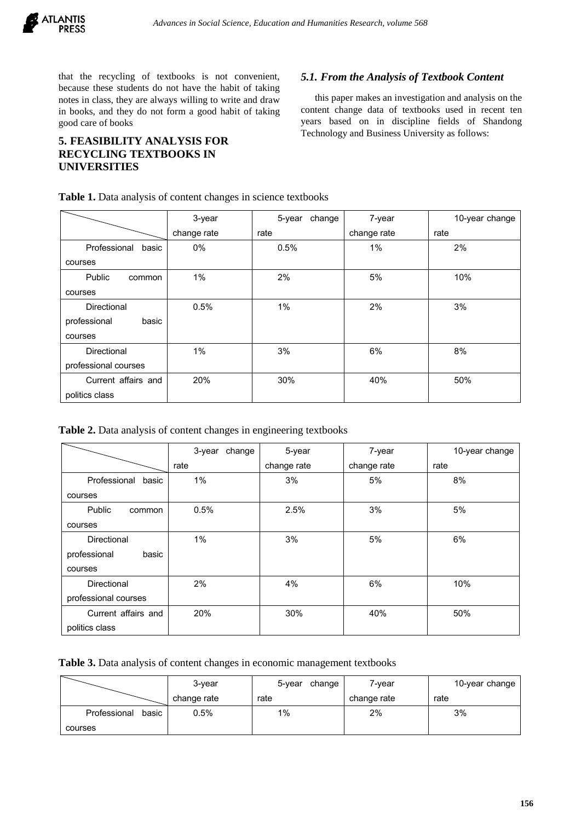

that the recycling of textbooks is not convenient, because these students do not have the habit of taking notes in class, they are always willing to write and draw in books, and they do not form a good habit of taking good care of books

## **5. FEASIBILITY ANALYSIS FOR RECYCLING TEXTBOOKS IN UNIVERSITIES**

#### *5.1. From the Analysis of Textbook Content*

this paper makes an investigation and analysis on the content change data of textbooks used in recent ten years based on in discipline fields of Shandong Technology and Business University as follows:

|                       | 3-year      | change<br>5-year | 7-year      | 10-year change |
|-----------------------|-------------|------------------|-------------|----------------|
|                       | change rate | rate             | change rate | rate           |
| Professional<br>basic | 0%          | 0.5%             | $1\%$       | 2%             |
| courses               |             |                  |             |                |
| Public<br>common      | 1%          | 2%               | 5%          | 10%            |
| courses               |             |                  |             |                |
| Directional           | 0.5%        | 1%               | 2%          | 3%             |
| professional<br>basic |             |                  |             |                |
| courses               |             |                  |             |                |
| Directional           | 1%          | 3%               | 6%          | 8%             |
| professional courses  |             |                  |             |                |
| Current affairs and   | 20%         | 30%              | 40%         | 50%            |
| politics class        |             |                  |             |                |

**Table 2.** Data analysis of content changes in engineering textbooks

|                       | change<br>3-year | 5-year      | 7-year      | 10-year change |
|-----------------------|------------------|-------------|-------------|----------------|
|                       | rate             | change rate | change rate | rate           |
| Professional<br>basic | 1%               | 3%          | 5%          | 8%             |
| courses               |                  |             |             |                |
| Public<br>common      | 0.5%             | 2.5%        | 3%          | 5%             |
| courses               |                  |             |             |                |
| Directional           | 1%               | 3%          | 5%          | 6%             |
| professional<br>basic |                  |             |             |                |
| courses               |                  |             |             |                |
| Directional           | 2%               | 4%          | 6%          | 10%            |
| professional courses  |                  |             |             |                |
| Current affairs and   | 20%              | 30%         | 40%         | 50%            |
| politics class        |                  |             |             |                |

**Table 3.** Data analysis of content changes in economic management textbooks

|                       | 3-year      | 5-year<br>change | 7-year      | 10-year change |
|-----------------------|-------------|------------------|-------------|----------------|
|                       | change rate | rate             | change rate | rate           |
| Professional<br>basic | 0.5%        | $1\%$            | 2%          | 3%             |
| courses               |             |                  |             |                |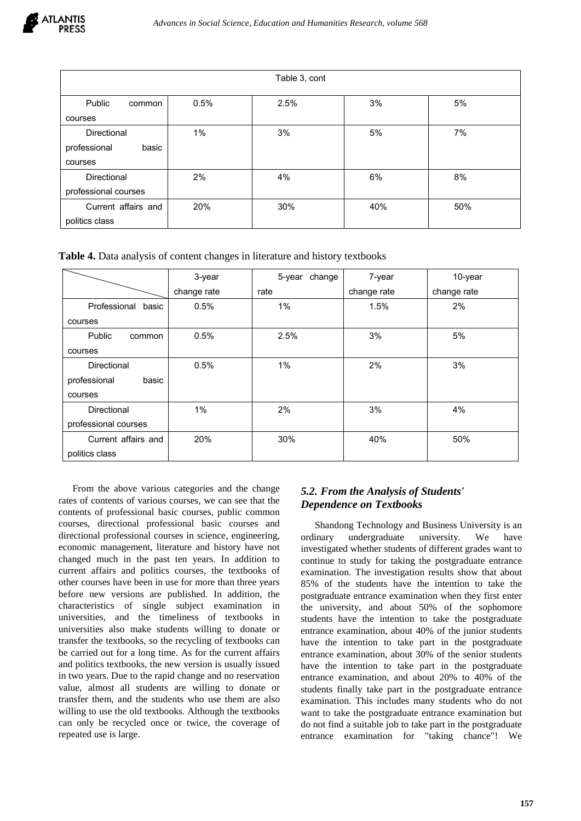| Table 3, cont         |      |      |     |     |
|-----------------------|------|------|-----|-----|
| Public<br>common      | 0.5% | 2.5% | 3%  | 5%  |
| courses               |      |      |     |     |
| Directional           | 1%   | 3%   | 5%  | 7%  |
| basic<br>professional |      |      |     |     |
| courses               |      |      |     |     |
| Directional           | 2%   | 4%   | 6%  | 8%  |
| professional courses  |      |      |     |     |
| Current affairs and   | 20%  | 30%  | 40% | 50% |
| politics class        |      |      |     |     |

**Table 4.** Data analysis of content changes in literature and history textbooks

|                       | 3-year      | change<br>5-year | 7-year      | 10-year     |
|-----------------------|-------------|------------------|-------------|-------------|
|                       | change rate | rate             | change rate | change rate |
| Professional<br>basic | 0.5%        | 1%               | 1.5%        | 2%          |
| courses               |             |                  |             |             |
| Public<br>common      | 0.5%        | 2.5%             | 3%          | 5%          |
| courses               |             |                  |             |             |
| <b>Directional</b>    | 0.5%        | 1%               | 2%          | 3%          |
| professional<br>basic |             |                  |             |             |
| courses               |             |                  |             |             |
| <b>Directional</b>    | 1%          | 2%               | 3%          | 4%          |
| professional courses  |             |                  |             |             |
| Current affairs and   | 20%         | 30%              | 40%         | 50%         |
| politics class        |             |                  |             |             |

From the above various categories and the change rates of contents of various courses, we can see that the contents of professional basic courses, public common courses, directional professional basic courses and directional professional courses in science, engineering, economic management, literature and history have not changed much in the past ten years. In addition to current affairs and politics courses, the textbooks of other courses have been in use for more than three years before new versions are published. In addition, the characteristics of single subject examination in universities, and the timeliness of textbooks in universities also make students willing to donate or transfer the textbooks, so the recycling of textbooks can be carried out for a long time. As for the current affairs and politics textbooks, the new version is usually issued in two years. Due to the rapid change and no reservation value, almost all students are willing to donate or transfer them, and the students who use them are also willing to use the old textbooks. Although the textbooks can only be recycled once or twice, the coverage of repeated use is large.

## *5.2. From the Analysis of Students' Dependence on Textbooks*

Shandong Technology and Business University is an ordinary undergraduate university. We have investigated whether students of different grades want to continue to study for taking the postgraduate entrance examination. The investigation results show that about 85% of the students have the intention to take the postgraduate entrance examination when they first enter the university, and about 50% of the sophomore students have the intention to take the postgraduate entrance examination, about 40% of the junior students have the intention to take part in the postgraduate entrance examination, about 30% of the senior students have the intention to take part in the postgraduate entrance examination, and about 20% to 40% of the students finally take part in the postgraduate entrance examination. This includes many students who do not want to take the postgraduate entrance examination but do not find a suitable job to take part in the postgraduate entrance examination for "taking chance"! We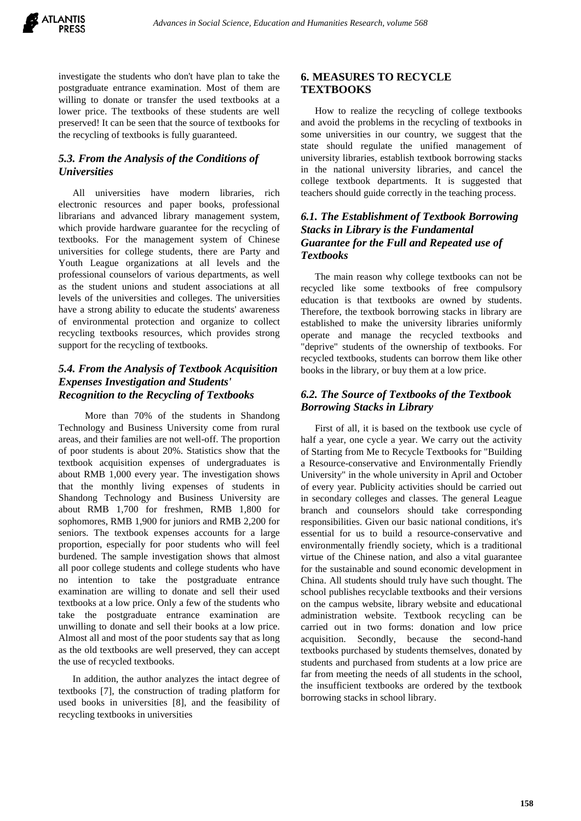investigate the students who don't have plan to take the postgraduate entrance examination. Most of them are willing to donate or transfer the used textbooks at a lower price. The textbooks of these students are well preserved! It can be seen that the source of textbooks for the recycling of textbooks is fully guaranteed.

## *5.3. From the Analysis of the Conditions of Universities*

All universities have modern libraries, rich electronic resources and paper books, professional librarians and advanced library management system, which provide hardware guarantee for the recycling of textbooks. For the management system of Chinese universities for college students, there are Party and Youth League organizations at all levels and the professional counselors of various departments, as well as the student unions and student associations at all levels of the universities and colleges. The universities have a strong ability to educate the students' awareness of environmental protection and organize to collect recycling textbooks resources, which provides strong support for the recycling of textbooks.

## *5.4. From the Analysis of Textbook Acquisition Expenses Investigation and Students' Recognition to the Recycling of Textbooks*

More than 70% of the students in Shandong Technology and Business University come from rural areas, and their families are not well-off. The proportion of poor students is about 20%. Statistics show that the textbook acquisition expenses of undergraduates is about RMB 1,000 every year. The investigation shows that the monthly living expenses of students in Shandong Technology and Business University are about RMB 1,700 for freshmen, RMB 1,800 for sophomores, RMB 1,900 for juniors and RMB 2,200 for seniors. The textbook expenses accounts for a large proportion, especially for poor students who will feel burdened. The sample investigation shows that almost all poor college students and college students who have no intention to take the postgraduate entrance examination are willing to donate and sell their used textbooks at a low price. Only a few of the students who take the postgraduate entrance examination are unwilling to donate and sell their books at a low price. Almost all and most of the poor students say that as long as the old textbooks are well preserved, they can accept the use of recycled textbooks.

In addition, the author analyzes the intact degree of textbooks [7], the construction of trading platform for used books in universities [8], and the feasibility of recycling textbooks in universities

## **6. MEASURES TO RECYCLE TEXTBOOKS**

How to realize the recycling of college textbooks and avoid the problems in the recycling of textbooks in some universities in our country, we suggest that the state should regulate the unified management of university libraries, establish textbook borrowing stacks in the national university libraries, and cancel the college textbook departments. It is suggested that teachers should guide correctly in the teaching process.

## *6.1. The Establishment of Textbook Borrowing Stacks in Library is the Fundamental Guarantee for the Full and Repeated use of Textbooks*

The main reason why college textbooks can not be recycled like some textbooks of free compulsory education is that textbooks are owned by students. Therefore, the textbook borrowing stacks in library are established to make the university libraries uniformly operate and manage the recycled textbooks and "deprive" students of the ownership of textbooks. For recycled textbooks, students can borrow them like other books in the library, or buy them at a low price.

## *6.2. The Source of Textbooks of the Textbook Borrowing Stacks in Library*

First of all, it is based on the textbook use cycle of half a year, one cycle a year. We carry out the activity of Starting from Me to Recycle Textbooks for "Building a Resource-conservative and Environmentally Friendly University" in the whole university in April and October of every year. Publicity activities should be carried out in secondary colleges and classes. The general League branch and counselors should take corresponding responsibilities. Given our basic national conditions, it's essential for us to build a resource-conservative and environmentally friendly society, which is a traditional virtue of the Chinese nation, and also a vital guarantee for the sustainable and sound economic development in China. All students should truly have such thought. The school publishes recyclable textbooks and their versions on the campus website, library website and educational administration website. Textbook recycling can be carried out in two forms: donation and low price acquisition. Secondly, because the second-hand textbooks purchased by students themselves, donated by students and purchased from students at a low price are far from meeting the needs of all students in the school, the insufficient textbooks are ordered by the textbook borrowing stacks in school library.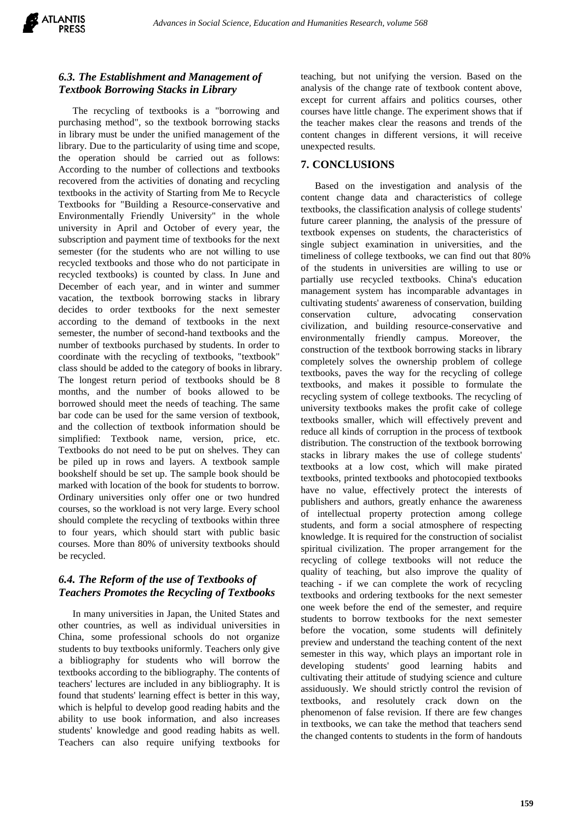

### *6.3. The Establishment and Management of Textbook Borrowing Stacks in Library*

The recycling of textbooks is a "borrowing and purchasing method", so the textbook borrowing stacks in library must be under the unified management of the library. Due to the particularity of using time and scope, the operation should be carried out as follows: According to the number of collections and textbooks recovered from the activities of donating and recycling textbooks in the activity of Starting from Me to Recycle Textbooks for "Building a Resource-conservative and Environmentally Friendly University" in the whole university in April and October of every year, the subscription and payment time of textbooks for the next semester (for the students who are not willing to use recycled textbooks and those who do not participate in recycled textbooks) is counted by class. In June and December of each year, and in winter and summer vacation, the textbook borrowing stacks in library decides to order textbooks for the next semester according to the demand of textbooks in the next semester, the number of second-hand textbooks and the number of textbooks purchased by students. In order to coordinate with the recycling of textbooks, "textbook" class should be added to the category of books in library. The longest return period of textbooks should be 8 months, and the number of books allowed to be borrowed should meet the needs of teaching. The same bar code can be used for the same version of textbook, and the collection of textbook information should be simplified: Textbook name, version, price, etc. Textbooks do not need to be put on shelves. They can be piled up in rows and layers. A textbook sample bookshelf should be set up. The sample book should be marked with location of the book for students to borrow. Ordinary universities only offer one or two hundred courses, so the workload is not very large. Every school should complete the recycling of textbooks within three to four years, which should start with public basic courses. More than 80% of university textbooks should be recycled.

## *6.4. The Reform of the use of Textbooks of Teachers Promotes the Recycling of Textbooks*

In many universities in Japan, the United States and other countries, as well as individual universities in China, some professional schools do not organize students to buy textbooks uniformly. Teachers only give a bibliography for students who will borrow the textbooks according to the bibliography. The contents of teachers' lectures are included in any bibliography. It is found that students' learning effect is better in this way, which is helpful to develop good reading habits and the ability to use book information, and also increases students' knowledge and good reading habits as well. Teachers can also require unifying textbooks for teaching, but not unifying the version. Based on the analysis of the change rate of textbook content above, except for current affairs and politics courses, other courses have little change. The experiment shows that if the teacher makes clear the reasons and trends of the content changes in different versions, it will receive unexpected results.

#### **7. CONCLUSIONS**

Based on the investigation and analysis of the content change data and characteristics of college textbooks, the classification analysis of college students' future career planning, the analysis of the pressure of textbook expenses on students, the characteristics of single subject examination in universities, and the timeliness of college textbooks, we can find out that 80% of the students in universities are willing to use or partially use recycled textbooks. China's education management system has incomparable advantages in cultivating students' awareness of conservation, building conservation culture, advocating conservation civilization, and building resource-conservative and environmentally friendly campus. Moreover, the construction of the textbook borrowing stacks in library completely solves the ownership problem of college textbooks, paves the way for the recycling of college textbooks, and makes it possible to formulate the recycling system of college textbooks. The recycling of university textbooks makes the profit cake of college textbooks smaller, which will effectively prevent and reduce all kinds of corruption in the process of textbook distribution. The construction of the textbook borrowing stacks in library makes the use of college students' textbooks at a low cost, which will make pirated textbooks, printed textbooks and photocopied textbooks have no value, effectively protect the interests of publishers and authors, greatly enhance the awareness of intellectual property protection among college students, and form a social atmosphere of respecting knowledge. It is required for the construction of socialist spiritual civilization. The proper arrangement for the recycling of college textbooks will not reduce the quality of teaching, but also improve the quality of teaching - if we can complete the work of recycling textbooks and ordering textbooks for the next semester one week before the end of the semester, and require students to borrow textbooks for the next semester before the vocation, some students will definitely preview and understand the teaching content of the next semester in this way, which plays an important role in developing students' good learning habits and cultivating their attitude of studying science and culture assiduously. We should strictly control the revision of textbooks, and resolutely crack down on the phenomenon of false revision. If there are few changes in textbooks, we can take the method that teachers send the changed contents to students in the form of handouts